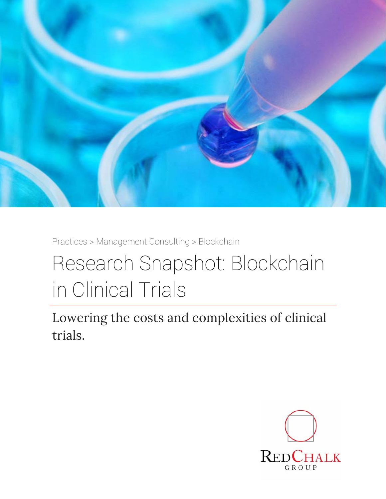

Practices > Management Consulting > Blockchain

## Research Snapshot: Blockchain in Clinical Trials

Lowering the costs and complexities of clinical trials.

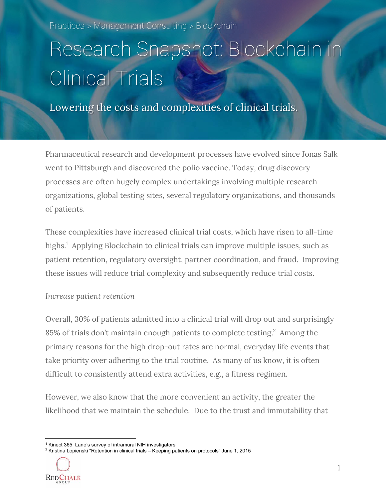Practices > Management Consulting > Blockchain

# Research Snapshot: Blockchain in Clinical Trials

Lowering the costs and complexities of clinical trials.

Pharmaceutical research and development processes have evolved since Jonas Salk went to Pittsburgh and discovered the polio vaccine. Today, drug discovery processes are often hugely complex undertakings involving multiple research organizations, global testing sites, several regulatory organizations, and thousands of patients.

These complexities have increased clinical trial costs, which have risen to all-time highs.<sup>1</sup> Applying Blockchain to clinical trials can improve multiple issues, such as patient retention, regulatory oversight, partner coordination, and fraud. Improving these issues will reduce trial complexity and subsequently reduce trial costs.

#### *Increase patient retention*

Overall, 30% of patients admitted into a clinical trial will drop out and surprisingly 85% of trials don't maintain enough patients to complete testing.<sup>2</sup> Among the primary reasons for the high drop-out rates are normal, everyday life events that take priority over adhering to the trial routine. As many of us know, it is often difficult to consistently attend extra activities, e.g., a fitness regimen.

However, we also know that the more convenient an activity, the greater the likelihood that we maintain the schedule. Due to the trust and immutability that

 $^2$  Kristina Lopienski "Retention in clinical trials – Keeping patients on protocols" June 1, 2015



 <sup>1</sup> Kinect 365, Lane's survey of intramural NIH investigators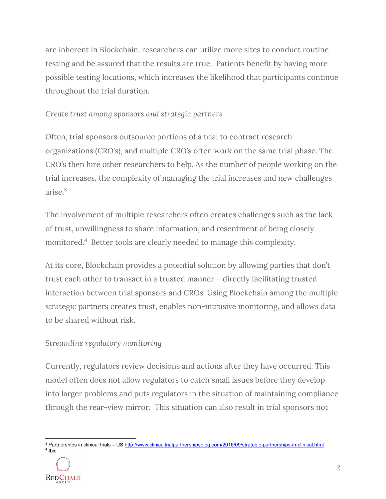are inherent in Blockchain, researchers can utilize more sites to conduct routine testing and be assured that the results are true. Patients benefit by having more possible testing locations, which increases the likelihood that participants continue throughout the trial duration.

*Create trust among sponsors and strategic partners* 

Often, trial sponsors outsource portions of a trial to contract research organizations (CRO's), and multiple CRO's often work on the same trial phase. The CRO's then hire other researchers to help. As the number of people working on the trial increases, the complexity of managing the trial increases and new challenges arise $3$ 

The involvement of multiple researchers often creates challenges such as the lack of trust, unwillingness to share information, and resentment of being closely monitored.4 Better tools are clearly needed to manage this complexity.

At its core, Blockchain provides a potential solution by allowing parties that don't trust each other to transact in a trusted manner – directly facilitating trusted interaction between trial sponsors and CROs. Using Blockchain among the multiple strategic partners creates trust, enables non-intrusive monitoring, and allows data to be shared without risk.

#### *Streamline regulatory monitoring*

Currently, regulators review decisions and actions after they have occurred. This model often does not allow regulators to catch small issues before they develop into larger problems and puts regulators in the situation of maintaining compliance through the rear-view mirror. This situation can also result in trial sponsors not

 <sup>3</sup> Partnerships in clinical trials – US <u>http://www.clinicaltrialpartnershipsblog.com/2016/09/strategic-partnerships-in-clinical.html</u> 4 Ibid

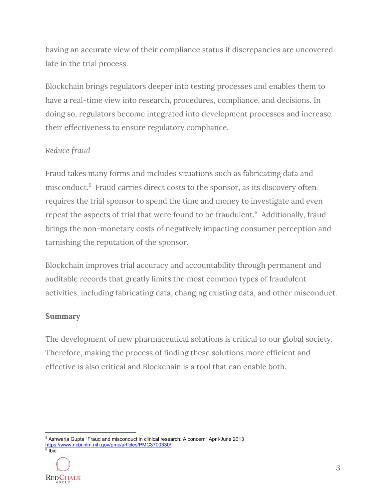having an accurate view of their compliance status if discrepancies are uncovered late in the trial process.

Blockchain brings regulators deeper into testing processes and enables them to have a real-time view into research, procedures, compliance, and decisions. In doing so, regulators become integrated into development processes and increase their effectiveness to ensure regulatory compliance.

#### *Reduce fraud*

Fraud takes many forms and includes situations such as fabricating data and misconduct.<sup>5</sup> Fraud carries direct costs to the sponsor, as its discovery often requires the trial sponsor to spend the time and money to investigate and even repeat the aspects of trial that were found to be fraudulent.<sup>6</sup> Additionally, fraud brings the non-monetary costs of negatively impacting consumer perception and tarnishing the reputation of the sponsor.

Blockchain improves trial accuracy and accountability through permanent and auditable records that greatly limits the most common types of fraudulent activities, including fabricating data, changing existing data, and other misconduct.

#### **Summary**

The development of new pharmaceutical solutions is critical to our global society. Therefore, making the process of finding these solutions more efficient and effective is also critical and Blockchain is a tool that can enable both.

  $^{\rm 5}$  Ashwaria Gupta "Fraud and misconduct in clinical research: A concern" April-June 2013 https://www.ncbi.nlm.nih.gov/pmc/articles/PMC3700330/